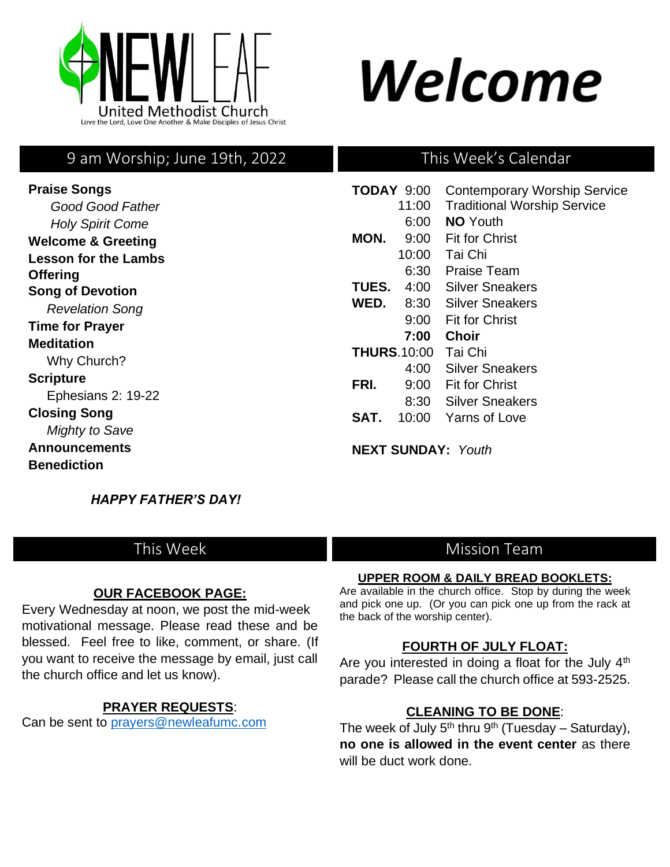

# Welcome

# 9 am Worship; June 19th, 2022

**Praise Songs** *Good Good Father* *Holy Spirit Come*  **Welcome & Greeting Lesson for the Lambs Offering Song of Devotion** *Revelation Song*  **Time for Prayer Meditation** Why Church? **Scripture** Ephesians 2: 19-22 **Closing Song**  *Mighty to Save*  **Announcements Benediction** 

# This Week's Calendar

| TODAY 9:00         |       |       | <b>Contemporary Worship Service</b> |
|--------------------|-------|-------|-------------------------------------|
|                    |       | 11:00 | <b>Traditional Worship Service</b>  |
|                    |       | 6:00  | <b>NO</b> Youth                     |
|                    | MON.  | 9:00  | <b>Fit for Christ</b>               |
|                    |       | 10:00 | Tai Chi                             |
|                    |       | 6:30  | Praise Team                         |
|                    | TUES. | 4:00  | Silver Sneakers                     |
|                    | WED.  | 8:30  | Silver Sneakers                     |
|                    |       | 9:00  | <b>Fit for Christ</b>               |
|                    |       | 7:00  | Choir                               |
| <b>THURS.10:00</b> |       |       | Tai Chi                             |
|                    |       | 4:00  | Silver Sneakers                     |
|                    | FRI.  | 9:00  | <b>Fit for Christ</b>               |
|                    |       | 8:30  | Silver Sneakers                     |
|                    | SAT.  | 10:00 | Yarns of Love                       |
|                    |       |       |                                     |

**NEXT SUNDAY:** *Youth*

 *HAPPY FATHER'S DAY!* 

# This Week

## **OUR FACEBOOK PAGE:**

Every Wednesday at noon, we post the mid-week motivational message. Please read these and be blessed. Feel free to like, comment, or share. (If you want to receive the message by email, just call the church office and let us know).

## **PRAYER REQUESTS**:

Can be sent to [prayers@newleafumc.com](mailto:prayers@newleafumc.com)

# Mission Team

## **UPPER ROOM & DAILY BREAD BOOKLETS:**

Are available in the church office. Stop by during the week and pick one up. (Or you can pick one up from the rack at the back of the worship center).

## **FOURTH OF JULY FLOAT:**

Are you interested in doing a float for the July 4<sup>th</sup> parade? Please call the church office at 593-2525.

# **CLEANING TO BE DONE**:

The week of July  $5<sup>th</sup>$  thru  $9<sup>th</sup>$  (Tuesday – Saturday), **no one is allowed in the event center** as there will be duct work done.